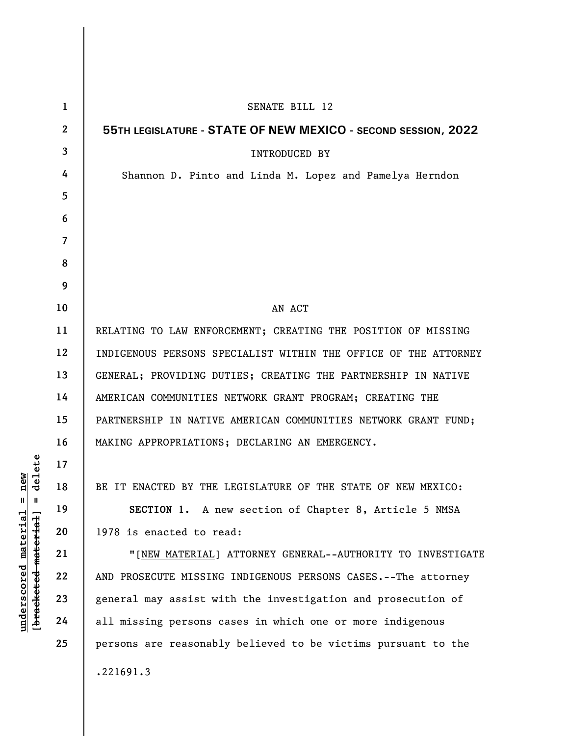| $\mathbf{1}$     | SENATE BILL 12                                                  |
|------------------|-----------------------------------------------------------------|
| $\boldsymbol{2}$ | 55TH LEGISLATURE - STATE OF NEW MEXICO - SECOND SESSION, 2022   |
| 3                | <b>INTRODUCED BY</b>                                            |
| 4                | Shannon D. Pinto and Linda M. Lopez and Pamelya Herndon         |
| 5                |                                                                 |
| 6                |                                                                 |
| $\overline{7}$   |                                                                 |
| 8                |                                                                 |
| 9                |                                                                 |
| 10               | AN ACT                                                          |
| 11               | RELATING TO LAW ENFORCEMENT; CREATING THE POSITION OF MISSING   |
| 12               | INDIGENOUS PERSONS SPECIALIST WITHIN THE OFFICE OF THE ATTORNEY |
| 13               | GENERAL; PROVIDING DUTIES; CREATING THE PARTNERSHIP IN NATIVE   |
| 14               | AMERICAN COMMUNITIES NETWORK GRANT PROGRAM; CREATING THE        |
| 15               | PARTNERSHIP IN NATIVE AMERICAN COMMUNITIES NETWORK GRANT FUND;  |
| 16               | MAKING APPROPRIATIONS; DECLARING AN EMERGENCY.                  |
| 17               |                                                                 |
| 18               | BE IT ENACTED BY THE LEGISLATURE OF THE STATE OF NEW MEXICO:    |
| 19               | SECTION 1. A new section of Chapter 8, Article 5 NMSA           |
| 20               | 1978 is enacted to read:                                        |
| 21               | "[NEW MATERIAL] ATTORNEY GENERAL--AUTHORITY TO INVESTIGATE      |
| 22               | AND PROSECUTE MISSING INDIGENOUS PERSONS CASES.--The attorney   |
| 23               | general may assist with the investigation and prosecution of    |
| 24               | all missing persons cases in which one or more indigenous       |
| 25               | persons are reasonably believed to be victims pursuant to the   |
|                  | .221691.3                                                       |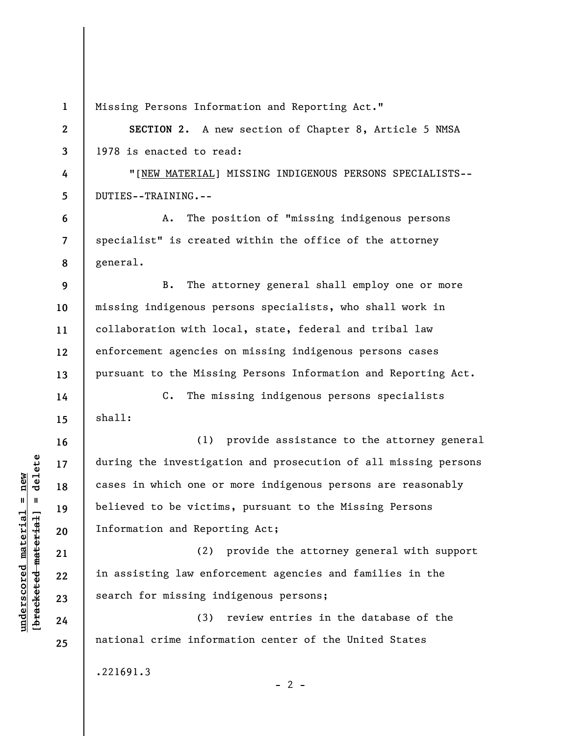|                    | $\mathbf{1}$   | Missing Persons Information and Reporting Act."                 |
|--------------------|----------------|-----------------------------------------------------------------|
|                    | $\mathbf{2}$   | SECTION 2. A new section of Chapter 8, Article 5 NMSA           |
|                    | 3              | 1978 is enacted to read:                                        |
|                    | 4              | "[NEW MATERIAL] MISSING INDIGENOUS PERSONS SPECIALISTS--        |
|                    | 5              | DUTIES--TRAINING.--                                             |
|                    | 6              | The position of "missing indigenous persons<br>Α.               |
|                    | $\overline{7}$ | specialist" is created within the office of the attorney        |
|                    | 8              | general.                                                        |
|                    | 9              | The attorney general shall employ one or more<br><b>B.</b>      |
|                    | 10             | missing indigenous persons specialists, who shall work in       |
|                    | 11             | collaboration with local, state, federal and tribal law         |
|                    | 12             | enforcement agencies on missing indigenous persons cases        |
|                    | 13             | pursuant to the Missing Persons Information and Reporting Act.  |
|                    | 14             | The missing indigenous persons specialists<br>$\mathbf{C}$ .    |
|                    | 15             | shall:                                                          |
|                    | 16             | (1)<br>provide assistance to the attorney general               |
| delete             | 17             | during the investigation and prosecution of all missing persons |
|                    | 18             | cases in which one or more indigenous persons are reasonably    |
| $\mathbf{I}$       | 19             | believed to be victims, pursuant to the Missing Persons         |
| bracketed material | 20             | Information and Reporting Act;                                  |
|                    | 21             | provide the attorney general with support<br>(2)                |
|                    | 22             | in assisting law enforcement agencies and families in the       |
|                    | 23             | search for missing indigenous persons;                          |
|                    | 24             | review entries in the database of the<br>(3)                    |
|                    | 25             | national crime information center of the United States          |
|                    |                | .221691.3<br>$-2$ -                                             |

**underscored material = new [bracketed material] = delete**

 $underscored material = new$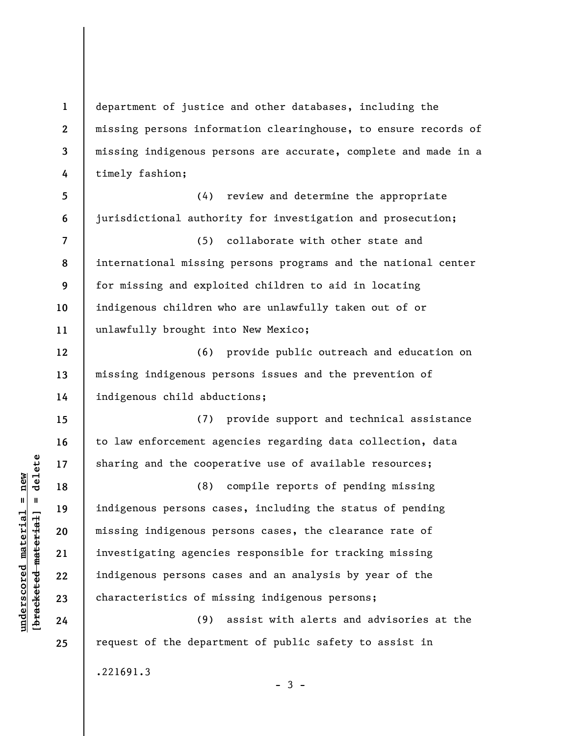**1 2 3 4 5 6 7 8 9 10 11 12 13 14 15 16 17 18 19 20 21 22 23 24 25**  department of justice and other databases, including the missing persons information clearinghouse, to ensure records of missing indigenous persons are accurate, complete and made in a timely fashion; (4) review and determine the appropriate jurisdictional authority for investigation and prosecution; (5) collaborate with other state and international missing persons programs and the national center for missing and exploited children to aid in locating indigenous children who are unlawfully taken out of or unlawfully brought into New Mexico; (6) provide public outreach and education on missing indigenous persons issues and the prevention of indigenous child abductions; (7) provide support and technical assistance to law enforcement agencies regarding data collection, data sharing and the cooperative use of available resources; (8) compile reports of pending missing indigenous persons cases, including the status of pending missing indigenous persons cases, the clearance rate of investigating agencies responsible for tracking missing indigenous persons cases and an analysis by year of the characteristics of missing indigenous persons; (9) assist with alerts and advisories at the request of the department of public safety to assist in .221691.3

 $-3 -$ 

 $\frac{1}{2}$  intereted material = delete **[bracketed material] = delete**  $underscored material = new$ **underscored material = new**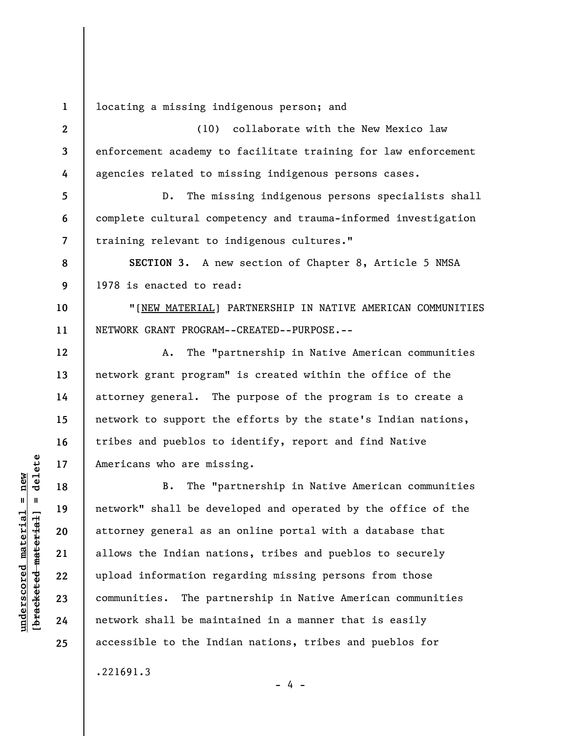**1**  locating a missing indigenous person; and

**2 3 4**  (10) collaborate with the New Mexico law enforcement academy to facilitate training for law enforcement agencies related to missing indigenous persons cases.

**5 6 7**  D. The missing indigenous persons specialists shall complete cultural competency and trauma-informed investigation training relevant to indigenous cultures."

**8 9 SECTION 3.** A new section of Chapter 8, Article 5 NMSA 1978 is enacted to read:

**10 11**  "[NEW MATERIAL] PARTNERSHIP IN NATIVE AMERICAN COMMUNITIES NETWORK GRANT PROGRAM--CREATED--PURPOSE.--

A. The "partnership in Native American communities network grant program" is created within the office of the attorney general. The purpose of the program is to create a network to support the efforts by the state's Indian nations, tribes and pueblos to identify, report and find Native Americans who are missing.

B. The "partnership in Native American communities network" shall be developed and operated by the office of the attorney general as an online portal with a database that allows the Indian nations, tribes and pueblos to securely upload information regarding missing persons from those communities. The partnership in Native American communities network shall be maintained in a manner that is easily accessible to the Indian nations, tribes and pueblos for

- 4 -

.221691.3

 $\frac{1}{2}$  intereted material = delete **[bracketed material] = delete**  $underscored material = new$ **underscored material = new**

**12** 

**13** 

**14** 

**15** 

**16** 

**17** 

**18** 

**19** 

**20** 

**21** 

**22** 

**23** 

**24** 

**25**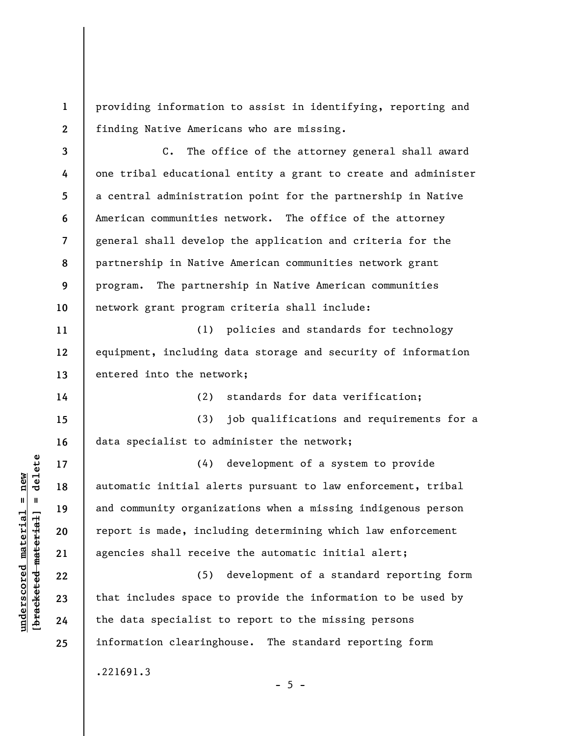providing information to assist in identifying, reporting and finding Native Americans who are missing.

**3 4 5 6 7 8 9 10**  C. The office of the attorney general shall award one tribal educational entity a grant to create and administer a central administration point for the partnership in Native American communities network. The office of the attorney general shall develop the application and criteria for the partnership in Native American communities network grant program. The partnership in Native American communities network grant program criteria shall include:

(1) policies and standards for technology equipment, including data storage and security of information entered into the network;

(2) standards for data verification;

**15 16**  (3) job qualifications and requirements for a data specialist to administer the network;

(4) development of a system to provide automatic initial alerts pursuant to law enforcement, tribal and community organizations when a missing indigenous person report is made, including determining which law enforcement agencies shall receive the automatic initial alert;

(5) development of a standard reporting form that includes space to provide the information to be used by the data specialist to report to the missing persons information clearinghouse. The standard reporting form

 $- 5 -$ 

.221691.3

 $\frac{1}{2}$  of  $\frac{1}{2}$  and  $\frac{1}{2}$  and  $\frac{1}{2}$  and  $\frac{1}{2}$  and  $\frac{1}{2}$  and  $\frac{1}{2}$  and  $\frac{1}{2}$  and  $\frac{1}{2}$  and  $\frac{1}{2}$  and  $\frac{1}{2}$  and  $\frac{1}{2}$  and  $\frac{1}{2}$  and  $\frac{1}{2}$  and  $\frac{1}{2}$  and  $\frac{1}{2}$  an **[bracketed material] = delete**  $anderscored material = new$ **underscored material = new**

**1** 

**2** 

**11** 

**12** 

**13** 

**14** 

**17** 

**18** 

**19** 

**20** 

**21** 

**22** 

**23** 

**24** 

**25**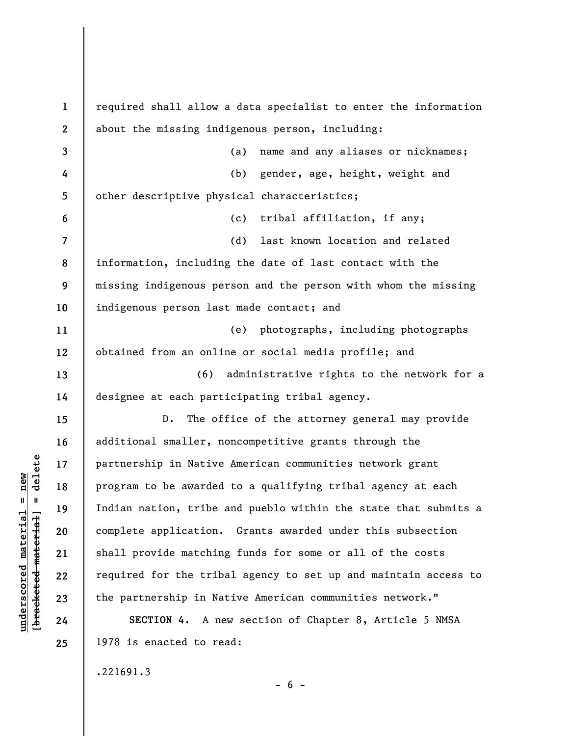| $\mathbf{1}$   | required shall allow a data specialist to enter the information |
|----------------|-----------------------------------------------------------------|
| $\mathbf{2}$   | about the missing indigenous person, including:                 |
| 3              | name and any aliases or nicknames;<br>(a)                       |
| 4              | gender, age, height, weight and<br>(b)                          |
| 5              | other descriptive physical characteristics;                     |
| 6              | (c) tribal affiliation, if any;                                 |
| $\overline{7}$ | (d)<br>last known location and related                          |
| 8              | information, including the date of last contact with the        |
| 9              | missing indigenous person and the person with whom the missing  |
| 10             | indigenous person last made contact; and                        |
| 11             | (e) photographs, including photographs                          |
| 12             | obtained from an online or social media profile; and            |
| 13             | (6) administrative rights to the network for a                  |
| 14             | designee at each participating tribal agency.                   |
| 15             | The office of the attorney general may provide<br>D.            |
| 16             | additional smaller, noncompetitive grants through the           |
| 17             | partnership in Native American communities network grant        |
| 18             | program to be awarded to a qualifying tribal agency at each     |
| 19             | Indian nation, tribe and pueblo within the state that submits a |
| 20             | complete application. Grants awarded under this subsection      |
| 21             | shall provide matching funds for some or all of the costs       |
| 22             | required for the tribal agency to set up and maintain access to |
| 23             | the partnership in Native American communities network."        |
| 24             | SECTION 4. A new section of Chapter 8, Article 5 NMSA           |
| 25             | 1978 is enacted to read:                                        |

.221691.3

 $[bracketeed-materiat] = delete$ **[bracketed material] = delete**  $underscored material = new$ **underscored material = new**

 $- 6 -$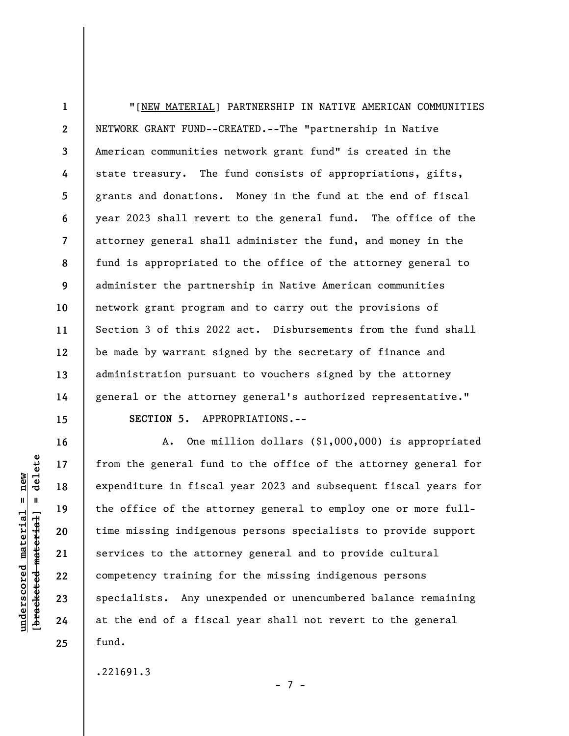**1 2 3 4 5 6 7 8 9 10 11 12 13 14 15**  "[NEW MATERIAL] PARTNERSHIP IN NATIVE AMERICAN COMMUNITIES NETWORK GRANT FUND--CREATED.--The "partnership in Native American communities network grant fund" is created in the state treasury. The fund consists of appropriations, gifts, grants and donations. Money in the fund at the end of fiscal year 2023 shall revert to the general fund. The office of the attorney general shall administer the fund, and money in the fund is appropriated to the office of the attorney general to administer the partnership in Native American communities network grant program and to carry out the provisions of Section 3 of this 2022 act. Disbursements from the fund shall be made by warrant signed by the secretary of finance and administration pursuant to vouchers signed by the attorney general or the attorney general's authorized representative."

**16** 

**17** 

**18** 

**19** 

**20** 

**21** 

**22** 

**23** 

**24** 

**25** 

**SECTION 5.** APPROPRIATIONS.--

A. One million dollars (\$1,000,000) is appropriated from the general fund to the office of the attorney general for expenditure in fiscal year 2023 and subsequent fiscal years for the office of the attorney general to employ one or more fulltime missing indigenous persons specialists to provide support services to the attorney general and to provide cultural competency training for the missing indigenous persons specialists. Any unexpended or unencumbered balance remaining at the end of a fiscal year shall not revert to the general fund.

- 7 -

.221691.3

 $\frac{1}{2}$  of  $\frac{1}{2}$  and  $\frac{1}{2}$  and  $\frac{1}{2}$  and  $\frac{1}{2}$  and  $\frac{1}{2}$  and  $\frac{1}{2}$  and  $\frac{1}{2}$  and  $\frac{1}{2}$  and  $\frac{1}{2}$  and  $\frac{1}{2}$  and  $\frac{1}{2}$  and  $\frac{1}{2}$  and  $\frac{1}{2}$  and  $\frac{1}{2}$  and  $\frac{1}{2}$  an **[bracketed material] = delete**  $underscored material = new$ **underscored material = new**